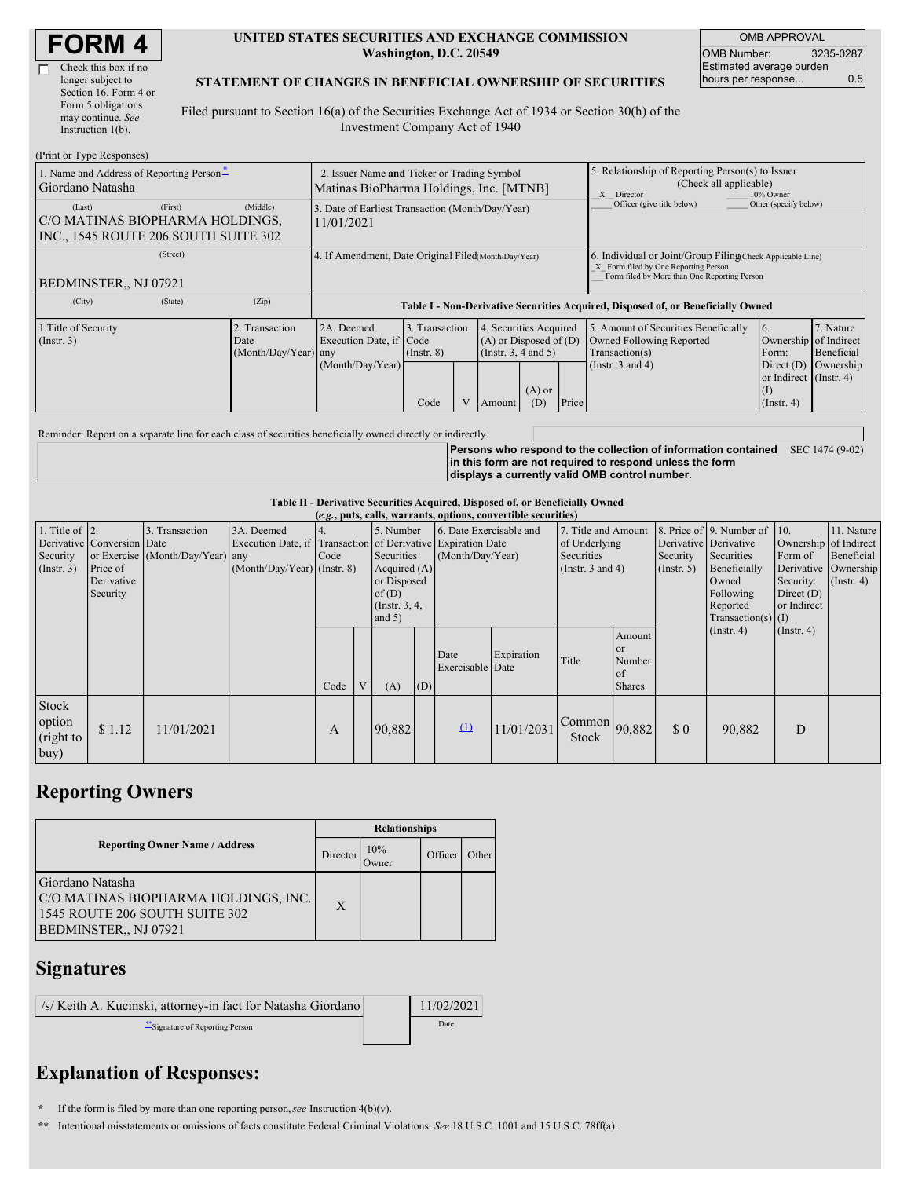| <b>FORM4</b> |
|--------------|
|--------------|

г

| Check this box if no  |
|-----------------------|
| longer subject to     |
| Section 16. Form 4 or |
| Form 5 obligations    |
| may continue. See     |
| Instruction 1(b).     |
|                       |

#### **UNITED STATES SECURITIES AND EXCHANGE COMMISSION Washington, D.C. 20549**

OMB APPROVAL OMB Number: 3235-0287 Estimated average burden hours per response... 0.5

### **STATEMENT OF CHANGES IN BENEFICIAL OWNERSHIP OF SECURITIES**

Filed pursuant to Section 16(a) of the Securities Exchange Act of 1934 or Section 30(h) of the Investment Company Act of 1940

| (Print or Type Responses)                                                                    |                                                                                        |                                                                                  |                                           |  |                                                                                        |                 |                                                                                                                                                    |                                                                                                             |                                                                                                           |                                      |  |
|----------------------------------------------------------------------------------------------|----------------------------------------------------------------------------------------|----------------------------------------------------------------------------------|-------------------------------------------|--|----------------------------------------------------------------------------------------|-----------------|----------------------------------------------------------------------------------------------------------------------------------------------------|-------------------------------------------------------------------------------------------------------------|-----------------------------------------------------------------------------------------------------------|--------------------------------------|--|
| 1. Name and Address of Reporting Person-<br>Giordano Natasha                                 | 2. Issuer Name and Ticker or Trading Symbol<br>Matinas BioPharma Holdings, Inc. [MTNB] |                                                                                  |                                           |  |                                                                                        |                 | 5. Relationship of Reporting Person(s) to Issuer<br>(Check all applicable)<br>X Director<br>10% Owner                                              |                                                                                                             |                                                                                                           |                                      |  |
| (First)<br>(Last)<br>C/O MATINAS BIOPHARMA HOLDINGS,<br>INC., 1545 ROUTE 206 SOUTH SUITE 302 | 3. Date of Earliest Transaction (Month/Day/Year)<br>11/01/2021                         |                                                                                  |                                           |  |                                                                                        |                 | Officer (give title below)                                                                                                                         | Other (specify below)                                                                                       |                                                                                                           |                                      |  |
| (Street)<br>BEDMINSTER., NJ 07921                                                            | 4. If Amendment, Date Original Filed(Month/Day/Year)                                   |                                                                                  |                                           |  |                                                                                        |                 | 6. Individual or Joint/Group Filing Check Applicable Line)<br>X Form filed by One Reporting Person<br>Form filed by More than One Reporting Person |                                                                                                             |                                                                                                           |                                      |  |
| (City)<br>(State)                                                                            | (Zip)                                                                                  | Table I - Non-Derivative Securities Acquired, Disposed of, or Beneficially Owned |                                           |  |                                                                                        |                 |                                                                                                                                                    |                                                                                                             |                                                                                                           |                                      |  |
| 1. Title of Security<br>$($ Instr. 3 $)$                                                     | Transaction<br>Date<br>(Month/Day/Year) any                                            | 2A. Deemed<br>Execution Date, if Code<br>(Month/Day/Year)                        | 3. Transaction<br>$($ Instr. $8)$<br>Code |  | 4. Securities Acquired<br>$(A)$ or Disposed of $(D)$<br>(Insert. 3, 4 and 5)<br>Amount | $(A)$ or<br>(D) | Price                                                                                                                                              | 5. Amount of Securities Beneficially<br>Owned Following Reported<br>Transaction(s)<br>(Instr. $3$ and $4$ ) | 6.<br>Ownership of Indirect<br>Form:<br>Direct $(D)$<br>or Indirect (Instr. 4)<br>(I)<br>$($ Instr. 4 $)$ | 7. Nature<br>Beneficial<br>Ownership |  |

Reminder: Report on a separate line for each class of securities beneficially owned directly or indirectly.

**Persons who respond to the collection of information contained** SEC 1474 (9-02) **in this form are not required to respond unless the form displays a currently valid OMB control number.**

#### **Table II - Derivative Securities Acquired, Disposed of, or Beneficially Owned**

| (e.g., puts, calls, warrants, options, convertible securities) |                                                                  |                                                    |                                                                                                             |      |   |                                                                                                     |     |                                             |            |                                                                        |                                                 |                                                  |                                                                                                                      |                                                                              |                                                                      |
|----------------------------------------------------------------|------------------------------------------------------------------|----------------------------------------------------|-------------------------------------------------------------------------------------------------------------|------|---|-----------------------------------------------------------------------------------------------------|-----|---------------------------------------------|------------|------------------------------------------------------------------------|-------------------------------------------------|--------------------------------------------------|----------------------------------------------------------------------------------------------------------------------|------------------------------------------------------------------------------|----------------------------------------------------------------------|
| 1. Title of $ 2$ .<br>Security<br>(Insert. 3)                  | Derivative Conversion Date<br>Price of<br>Derivative<br>Security | 3. Transaction<br>or Exercise (Month/Day/Year) any | 3A. Deemed<br>Execution Date, if Transaction of Derivative Expiration Date<br>$(Month/Day/Year)$ (Instr. 8) | Code |   | 5. Number<br>Securities<br>Acquired $(A)$<br>or Disposed<br>of $(D)$<br>(Instr. $3, 4,$<br>and $5)$ |     | 6. Date Exercisable and<br>(Month/Day/Year) |            | 7. Title and Amount<br>of Underlying<br>Securities<br>(Instr. 3 and 4) |                                                 | Derivative Derivative<br>Security<br>(Insert. 5) | 8. Price of 9. Number of 10.<br>Securities<br>Beneficially<br>Owned<br>Following<br>Reported<br>$Transaction(s)$ (I) | Ownership of Indirect<br>Form of<br>Security:<br>Direct $(D)$<br>or Indirect | 11. Nature<br>Beneficial<br>Derivative Ownership<br>$($ Instr. 4 $)$ |
|                                                                |                                                                  |                                                    |                                                                                                             | Code | V | (A)                                                                                                 | (D) | Date<br>Exercisable Date                    | Expiration | Title                                                                  | Amount<br>l or<br>Number<br>of<br><b>Shares</b> |                                                  | $($ Instr. 4 $)$                                                                                                     | $($ Instr. 4 $)$                                                             |                                                                      |
| Stock<br>option<br>(right to<br>buy)                           | \$1.12                                                           | 11/01/2021                                         |                                                                                                             | A    |   | 90,882                                                                                              |     | $\Omega$                                    | 11/01/2031 | $\left  \text{Common} \right $ 90,882<br><b>Stock</b>                  |                                                 | $\Omega$                                         | 90,882                                                                                                               | D                                                                            |                                                                      |

## **Reporting Owners**

|                                                                                                                     | <b>Relationships</b> |              |         |              |  |  |  |  |
|---------------------------------------------------------------------------------------------------------------------|----------------------|--------------|---------|--------------|--|--|--|--|
| <b>Reporting Owner Name / Address</b>                                                                               | Director             | 10%<br>Owner | Officer | <b>Other</b> |  |  |  |  |
| Giordano Natasha<br>C/O MATINAS BIOPHARMA HOLDINGS, INC.<br>1545 ROUTE 206 SOUTH SUITE 302<br>BEDMINSTER., NJ 07921 | $\mathbf{X}$         |              |         |              |  |  |  |  |

## **Signatures**

| /s/ Keith A. Kucinski, attorney-in fact for Natasha Giordano | 11/02/2021 |
|--------------------------------------------------------------|------------|
| Signature of Reporting Person                                | Date       |

# **Explanation of Responses:**

**\*** If the form is filed by more than one reporting person,*see* Instruction 4(b)(v).

**\*\*** Intentional misstatements or omissions of facts constitute Federal Criminal Violations. *See* 18 U.S.C. 1001 and 15 U.S.C. 78ff(a).